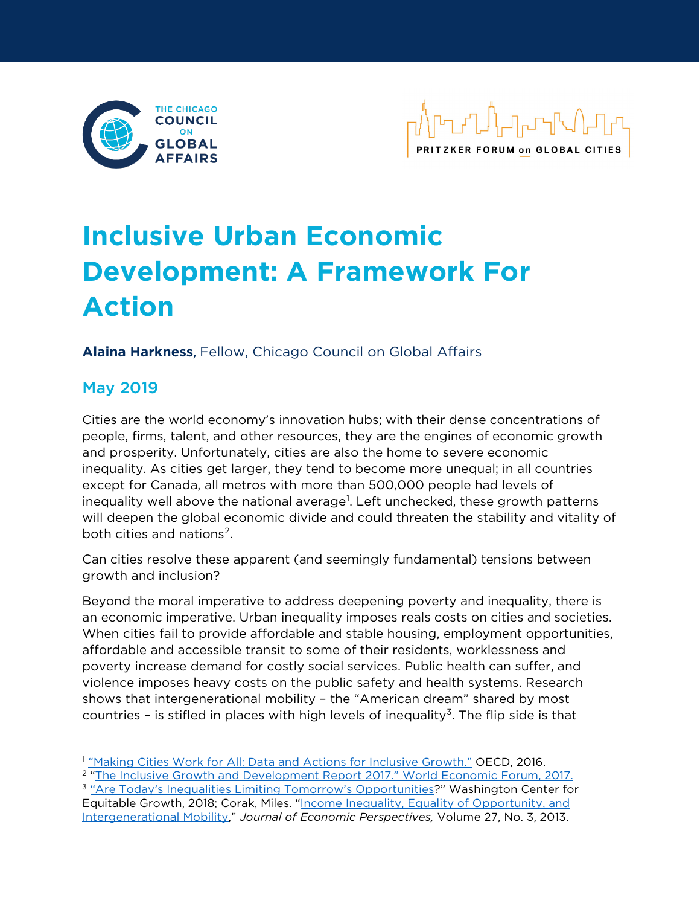



# **Inclusive Urban Economic Development: A Framework For Action**

**Alaina Harkness**, Fellow, Chicago Council on Global Affairs

## May 2019

Cities are the world economy's innovation hubs; with their dense concentrations of people, firms, talent, and other resources, they are the engines of economic growth and prosperity. Unfortunately, cities are also the home to severe economic inequality. As cities get larger, they tend to become more unequal; in all countries except for Canada, all metros with more than 500,000 people had levels of inequality well above the national average<sup>[1](#page-0-0)</sup>. Left unchecked, these growth patterns will deepen the global economic divide and could threaten the stability and vitality of both cities and nations<sup>[2](#page-0-1)</sup>.

Can cities resolve these apparent (and seemingly fundamental) tensions between growth and inclusion?

Beyond the moral imperative to address deepening poverty and inequality, there is an economic imperative. Urban inequality imposes reals costs on cities and societies. When cities fail to provide affordable and stable housing, employment opportunities, affordable and accessible transit to some of their residents, worklessness and poverty increase demand for costly social services. Public health can suffer, and violence imposes heavy costs on the public safety and health systems. Research shows that intergenerational mobility – the "American dream" shared by most countries – is stifled in places with high levels of inequality<sup>[3](#page-0-2)</sup>. The flip side is that

<span id="page-0-2"></span><span id="page-0-1"></span><span id="page-0-0"></span><sup>1</sup> ["Making Cities Work for All: Data and Actions for Inclusive Growth."](https://read.oecd-ilibrary.org/urban-rural-and-regional-development/making-cities-work-for-all_9789264263260-en#page1) OECD, 2016. <sup>2</sup> ["The Inclusive Growth and Development Report 2017." W](https://www.weforum.org/reports/the-inclusive-growth-and-development-report-2017)orld Economic Forum, 2017. <sup>3</sup> ["Are Today's Inequalities Limiting Tomorrow's Opportunities?](https://equitablegrowth.org/research-paper/are-todays-inequalities-limiting-tomorrows-opportunities/)" Washington Center for Equitable Growth, 2018; Corak, Miles. "Income Inequality, Equality of Opportunity, and [Intergenerational Mobility,](https://www.aeaweb.org/articles?id=10.1257/jep.27.3.79)" *Journal of Economic Perspectives,* Volume 27, No. 3, 2013.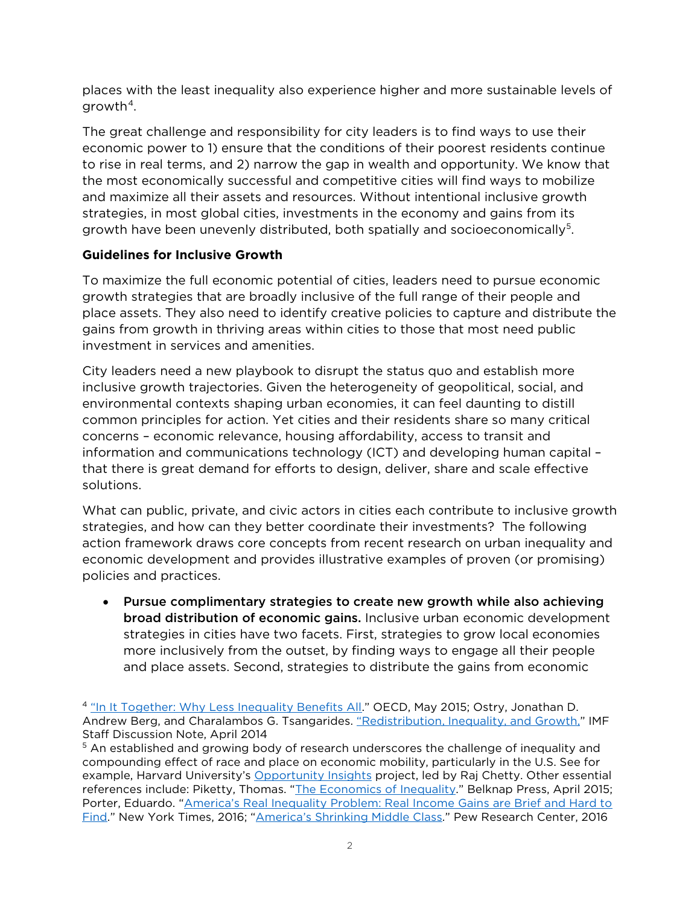places with the least inequality also experience higher and more sustainable levels of growth $4$ .

The great challenge and responsibility for city leaders is to find ways to use their economic power to 1) ensure that the conditions of their poorest residents continue to rise in real terms, and 2) narrow the gap in wealth and opportunity. We know that the most economically successful and competitive cities will find ways to mobilize and maximize all their assets and resources. Without intentional inclusive growth strategies, in most global cities, investments in the economy and gains from its growth have been unevenly distributed, both spatially and socioeconomically<sup>5</sup>.

### **Guidelines for Inclusive Growth**

To maximize the full economic potential of cities, leaders need to pursue economic growth strategies that are broadly inclusive of the full range of their people and place assets. They also need to identify creative policies to capture and distribute the gains from growth in thriving areas within cities to those that most need public investment in services and amenities.

City leaders need a new playbook to disrupt the status quo and establish more inclusive growth trajectories. Given the heterogeneity of geopolitical, social, and environmental contexts shaping urban economies, it can feel daunting to distill common principles for action. Yet cities and their residents share so many critical concerns – economic relevance, housing affordability, access to transit and information and communications technology (ICT) and developing human capital – that there is great demand for efforts to design, deliver, share and scale effective solutions.

What can public, private, and civic actors in cities each contribute to inclusive growth strategies, and how can they better coordinate their investments? The following action framework draws core concepts from recent research on urban inequality and economic development and provides illustrative examples of proven (or promising) policies and practices.

• Pursue complimentary strategies to create new growth while also achieving broad distribution of economic gains. Inclusive urban economic development strategies in cities have two facets. First, strategies to grow local economies more inclusively from the outset, by finding ways to engage all their people and place assets. Second, strategies to distribute the gains from economic

<span id="page-1-0"></span><sup>&</sup>lt;sup>4</sup> ["In It Together: Why Less Inequality Benefits All."](https://www.oecd.org/social/in-it-together-why-less-inequality-benefits-all-9789264235120-en.htm) OECD, May 2015; Ostry, Jonathan D. Andrew Berg, and Charalambos G. Tsangarides. ["Redistribution, Inequality, and Growth,"](http://www.imf.org/%20external/pubs/ft/sdn/2014/sdn1402.pdf;) IMF Staff Discussion Note, April 2014

<span id="page-1-1"></span><sup>&</sup>lt;sup>5</sup> An established and growing body of research underscores the challenge of inequality and compounding effect of race and place on economic mobility, particularly in the U.S. See for example, Harvard University's [Opportunity Insights](http://www.opportunityinsights.org/) project, led by Raj Chetty. Other essential references include: Piketty, Thomas. ["The Economics of Inequality.](https://www.amazon.com/Economics-Inequality-Thomas-Piketty/dp/1511336579)" Belknap Press, April 2015; Porter, Eduardo. ["America's Real Inequality Problem: Real Income Gains are Brief and Hard to](https://www.nytimes.com/2016/09/14/business/economy/americas-inequality-problem-real-income-gains-are-briefand-hard-to-find.html)  [Find.](https://www.nytimes.com/2016/09/14/business/economy/americas-inequality-problem-real-income-gains-are-briefand-hard-to-find.html)" New York Times, 2016; ["America's Shrinking Middle Class.](http://www.pewsocialtrends.org/2016/05/11/americas-shrinking-middle-class-a-close-look-at-changes-withinmetropolitan-areas/)" Pew Research Center, 2016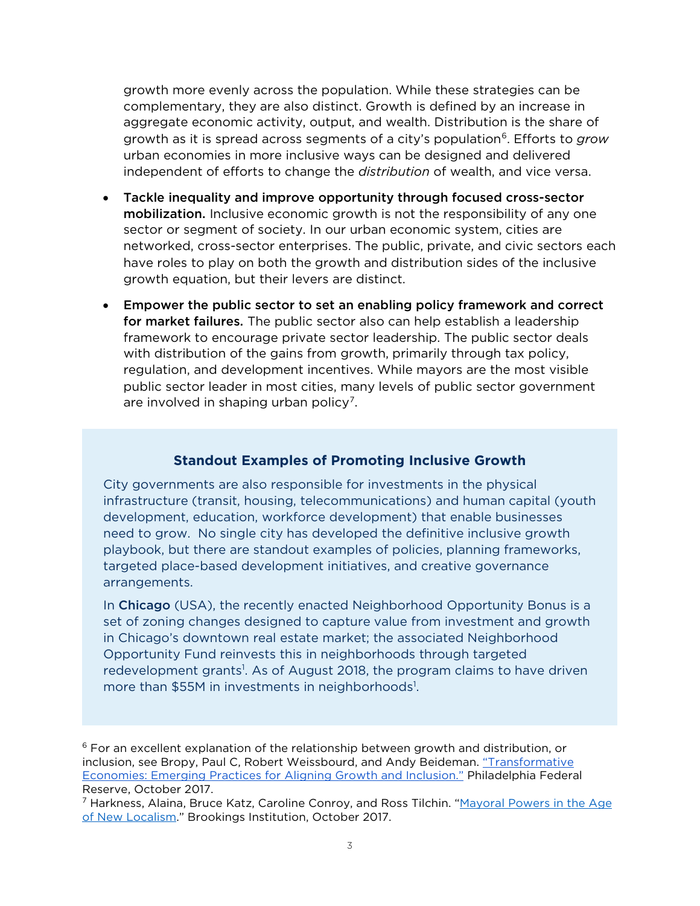growth more evenly across the population. While these strategies can be complementary, they are also distinct. Growth is defined by an increase in aggregate economic activity, output, and wealth. Distribution is the share of growth as it is spread across segments of a city's population<sup>[6](#page-2-0)</sup>. Efforts to *grow* urban economies in more inclusive ways can be designed and delivered independent of efforts to change the *distribution* of wealth, and vice versa.

- Tackle inequality and improve opportunity through focused cross-sector mobilization. Inclusive economic growth is not the responsibility of any one sector or segment of society. In our urban economic system, cities are networked, cross-sector enterprises. The public, private, and civic sectors each have roles to play on both the growth and distribution sides of the inclusive growth equation, but their levers are distinct.
- Empower the public sector to set an enabling policy framework and correct for market failures. The public sector also can help establish a leadership framework to encourage private sector leadership. The public sector deals with distribution of the gains from growth, primarily through tax policy, regulation, and development incentives. While mayors are the most visible public sector leader in most cities, many levels of public sector government are involved in shaping urban policy<sup>[7](#page-2-1)</sup>.

## **Standout Examples of Promoting Inclusive Growth**

City governments are also responsible for investments in the physical infrastructure (transit, housing, telecommunications) and human capital (youth development, education, workforce development) that enable businesses need to grow. No single city has developed the definitive inclusive growth playbook, but there are standout examples of policies, planning frameworks, targeted place-based development initiatives, and creative governance arrangements.

In Chicago (USA), the recently enacted Neighborhood Opportunity Bonus is a set of zoning changes designed to capture value from investment and growth in Chicago's downtown real estate market; the associated Neighborhood Opportunity Fund reinvests this in neighborhoods through targeted redevelopment grants<sup>1</sup>. As of August 2018, the program claims to have driven more than \$55M in investments in neighborhoods<sup>1</sup>.

<span id="page-2-0"></span> $6$  For an excellent explanation of the relationship between growth and distribution, or inclusion, see Bropy, Paul C, Robert Weissbourd, and Andy Beideman. ["Transformative](https://www.philadelphiafed.org/-/media/community-development/publications/special-reports/transformative-economies-emerging-practices-for-aligning-growth-and-inclusion/transformative-economies-emerging-practices-for-aligning-growth-and-inclusion.pdf?la=en)  [Economies: Emerging Practices for Aligning Growth and Inclusion."](https://www.philadelphiafed.org/-/media/community-development/publications/special-reports/transformative-economies-emerging-practices-for-aligning-growth-and-inclusion/transformative-economies-emerging-practices-for-aligning-growth-and-inclusion.pdf?la=en) Philadelphia Federal Reserve, October 2017.

<span id="page-2-1"></span><sup>&</sup>lt;sup>7</sup> Harkness, Alaina, Bruce Katz, Caroline Conroy, and Ross Tilchin. "Mayoral Powers in the Age of [New Localism."](https://www.brookings.edu/research/leading-beyond-limits-mayoral-powers-in-the-age-of-new-localism/) Brookings Institution, October 2017.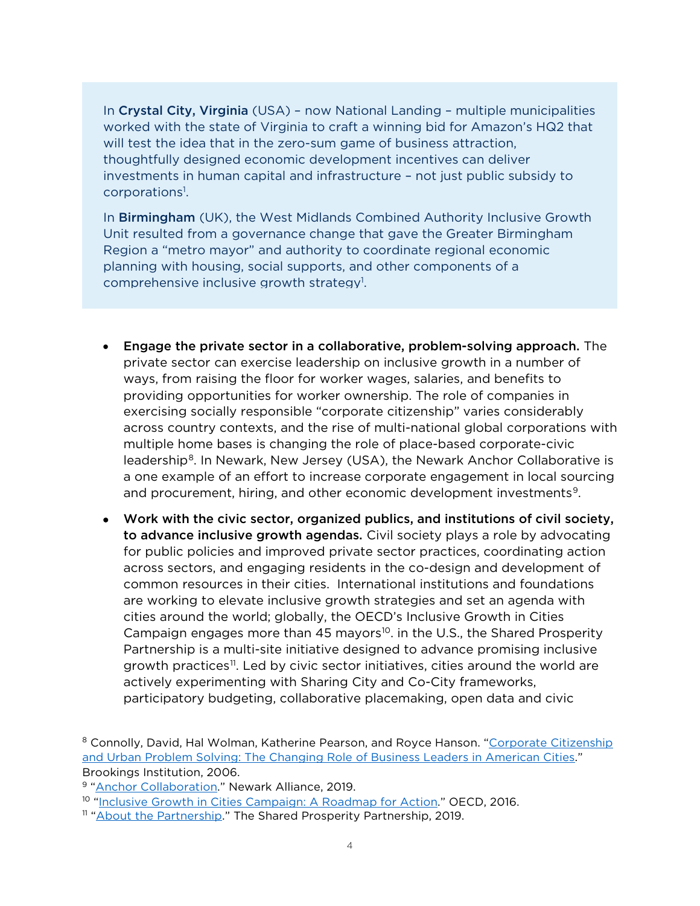In Crystal City, Virginia (USA) – now National Landing – multiple municipalities worked with the state of Virginia to craft a winning bid for Amazon's HQ2 that will test the idea that in the zero-sum game of business attraction, thoughtfully designed economic development incentives can deliver investments in human capital and infrastructure – not just public subsidy to corporations<sup>1</sup>.

In Birmingham (UK), the West Midlands Combined Authority Inclusive Growth Unit resulted from a governance change that gave the Greater Birmingham Region a "metro mayor" and authority to coordinate regional economic planning with housing, social supports, and other components of a comprehensive inclusive growth strategy<sup>1</sup>.

- Engage the private sector in a collaborative, problem-solving approach. The private sector can exercise leadership on inclusive growth in a number of ways, from raising the floor for worker wages, salaries, and benefits to providing opportunities for worker ownership. The role of companies in exercising socially responsible "corporate citizenship" varies considerably across country contexts, and the rise of multi-national global corporations with multiple home bases is changing the role of place-based corporate-civic leadership<sup>[8](#page-3-0)</sup>. In Newark, New Jersey (USA), the Newark Anchor Collaborative is a one example of an effort to increase corporate engagement in local sourcing and procurement, hiring, and other economic development investments<sup>9</sup>.
- Work with the civic sector, organized publics, and institutions of civil society, to advance inclusive growth agendas. Civil society plays a role by advocating for public policies and improved private sector practices, coordinating action across sectors, and engaging residents in the co-design and development of common resources in their cities. International institutions and foundations are working to elevate inclusive growth strategies and set an agenda with cities around the world; globally, the OECD's Inclusive Growth in Cities Campaign engages more than 45 mayors<sup>10</sup>. in the U.S., the Shared Prosperity Partnership is a multi-site initiative designed to advance promising inclusive growth practices<sup>[11](#page-3-3)</sup>. Led by civic sector initiatives, cities around the world are actively experimenting with Sharing City and Co-City frameworks, participatory budgeting, collaborative placemaking, open data and civic

<span id="page-3-0"></span><sup>&</sup>lt;sup>8</sup> Connolly, David, Hal Wolman, Katherine Pearson, and Royce Hanson. "Corporate Citizenship [and Urban Problem Solving: The Changing Role of Business Leaders in American Cities.](https://www.brookings.edu/research/corporate-citizenship-and-urban-problem-solving-the-changing-civic-role-of-business-leaders-in-american-cities/)" Brookings Institution, 2006.

<span id="page-3-1"></span><sup>9</sup> ["Anchor Collaboration."](https://www.newark-alliance.org/anchor/) Newark Alliance, 2019.

<span id="page-3-2"></span><sup>&</sup>lt;sup>10</sup> ["Inclusive Growth in Cities Campaign: A Roadmap for Action.](https://www.oecd.org/inclusive-growth/about/inclusive-cities-campaign/NY%20Proposal%20-%20English.pdf)" OECD, 2016.

<span id="page-3-3"></span><sup>&</sup>lt;sup>11</sup> ["About the Partnership."](https://www.sharedprosperitypartnership.org/about-the-partnership/) The Shared Prosperity Partnership, 2019.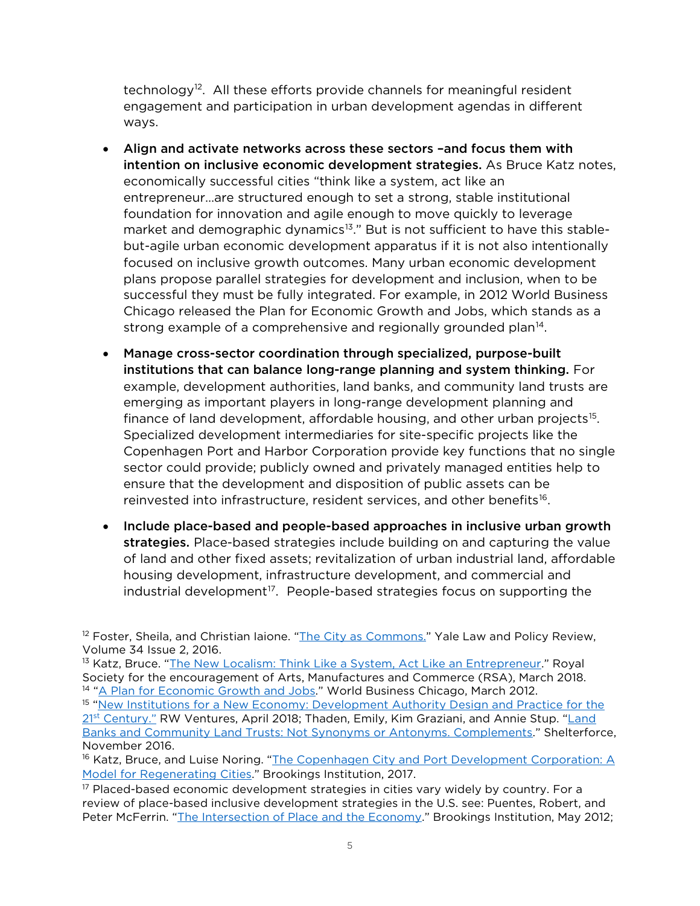technology<sup>12</sup>. All these efforts provide channels for meaningful resident engagement and participation in urban development agendas in different ways.

- Align and activate networks across these sectors –and focus them with intention on inclusive economic development strategies. As Bruce Katz notes, economically successful cities "think like a system, act like an entrepreneur…are structured enough to set a strong, stable institutional foundation for innovation and agile enough to move quickly to leverage market and demographic dynamics<sup>13</sup>." But is not sufficient to have this stablebut-agile urban economic development apparatus if it is not also intentionally focused on inclusive growth outcomes. Many urban economic development plans propose parallel strategies for development and inclusion, when to be successful they must be fully integrated. For example, in 2012 World Business Chicago released the Plan for Economic Growth and Jobs, which stands as a strong example of a comprehensive and regionally grounded plan<sup>[14](#page-4-2)</sup>.
- Manage cross-sector coordination through specialized, purpose-built institutions that can balance long-range planning and system thinking. For example, development authorities, land banks, and community land trusts are emerging as important players in long-range development planning and finance of land development, affordable housing, and other urban projects<sup>[15](#page-4-3)</sup>. Specialized development intermediaries for site-specific projects like the Copenhagen Port and Harbor Corporation provide key functions that no single sector could provide; publicly owned and privately managed entities help to ensure that the development and disposition of public assets can be reinvested into infrastructure, resident services, and other benefits<sup>16</sup>.
- Include place-based and people-based approaches in inclusive urban growth strategies. Place-based strategies include building on and capturing the value of land and other fixed assets; revitalization of urban industrial land, affordable housing development, infrastructure development, and commercial and industrial development<sup>[17](#page-4-5)</sup>. People-based strategies focus on supporting the

<span id="page-4-0"></span><sup>12</sup> Foster, Sheila, and Christian laione. ["The City as Commons."](https://digitalcommons.law.yale.edu/cgi/viewcontent.cgi?referer=&httpsredir=1&article=1698&context=ylpr&usg=AFQjCNGW_wxN7xvkTCM7CZSUbw4rfBHyxw&sig2=gBiiM1M5DpHy3MTCWGAhdg) Yale Law and Policy Review, Volume 34 Issue 2, 2016.

<span id="page-4-3"></span><span id="page-4-2"></span><span id="page-4-1"></span><sup>13</sup> Katz, Bruce. ["The New Localism: Think Like a System, Act Like an Entrepreneur.](https://www.thersa.org/discover/publications-and-articles/rsa-comment/2018/03/the-new-localism-think-like-a-system-act-like-an-entrepreneur)" Royal Society for the encouragement of Arts, Manufactures and Commerce (RSA), March 2018. <sup>14</sup> ["A Plan for Economic Growth and Jobs.](https://www.chicago.gov/content/dam/city/depts/dcd/general/Plan-for-Economic-Growth-and-Jobs.pdf)" World Business Chicago, March 2012. <sup>15</sup> "New Institutions for a New Economy: Development Authority Design and Practice for the 21st Century." RW Ventures, April 2018; Thaden, Emily, Kim Graziani, and Annie Stup. "Land [Banks and Community Land Trusts: Not Synonyms or Antonyms. Complements.](https://shelterforce.org/2016/11/09/land-banks-community-land-trusts-not-synonyms-or-antonyms-complements/)" Shelterforce, November 2016.

<span id="page-4-4"></span><sup>16</sup> Katz, Bruce, and Luise Noring. ["The Copenhagen City and Port Development](https://www.brookings.edu/research/copenhagen-port-development/) Corporation: A [Model for Regenerating Cities.](https://www.brookings.edu/research/copenhagen-port-development/)" Brookings Institution, 2017.

<span id="page-4-5"></span><sup>17</sup> Placed-based economic development strategies in cities vary widely by country. For a review of place-based inclusive development strategies in the U.S. see: Puentes, Robert, and Peter McFerrin. ["The Intersection of Place and the Economy.](https://www.brookings.edu/research/the-intersection-of-place-and-the-economy/)" Brookings Institution, May 2012;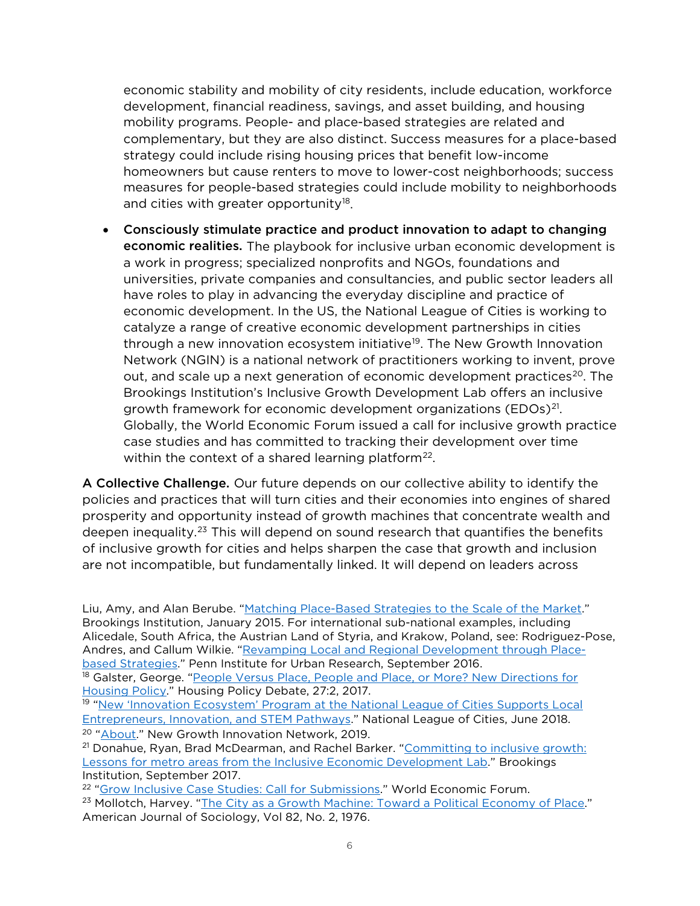economic stability and mobility of city residents, include education, workforce development, financial readiness, savings, and asset building, and housing mobility programs. People- and place-based strategies are related and complementary, but they are also distinct. Success measures for a place-based strategy could include rising housing prices that benefit low-income homeowners but cause renters to move to lower-cost neighborhoods; success measures for people-based strategies could include mobility to neighborhoods and cities with greater opportunity<sup>18</sup>.

• Consciously stimulate practice and product innovation to adapt to changing economic realities. The playbook for inclusive urban economic development is a work in progress; specialized nonprofits and NGOs, foundations and universities, private companies and consultancies, and public sector leaders all have roles to play in advancing the everyday discipline and practice of economic development. In the US, the National League of Cities is working to catalyze a range of creative economic development partnerships in cities through a new innovation ecosystem initiative<sup>19</sup>. The New Growth Innovation Network (NGIN) is a national network of practitioners working to invent, prove out, and scale up a next generation of economic development practices<sup>[20](#page-5-2)</sup>. The Brookings Institution's Inclusive Growth Development Lab offers an inclusive growth framework for economic development organizations (EDOs)<sup>[21](#page-5-3)</sup>. Globally, the World Economic Forum issued a call for inclusive growth practice case studies and has committed to tracking their development over time within the context of a shared learning platform<sup>[22](#page-5-4)</sup>.

A Collective Challenge. Our future depends on our collective ability to identify the policies and practices that will turn cities and their economies into engines of shared prosperity and opportunity instead of growth machines that concentrate wealth and deepen inequality.<sup>[23](#page-5-5)</sup> This will depend on sound research that quantifies the benefits of inclusive growth for cities and helps sharpen the case that growth and inclusion are not incompatible, but fundamentally linked. It will depend on leaders across

Liu, Amy, and Alan Berube. ["Matching Place-Based Strategies to the Scale of the Market.](https://www.brookings.edu/articles/matching-place-based-strategies-to-the-scale-of-the-market/)" Brookings Institution, January 2015. For international sub-national examples, including Alicedale, South Africa, the Austrian Land of Styria, and Krakow, Poland, see: Rodriguez-Pose, Andres, and Callum Wilkie. ["Revamping Local and Regional Development through Place](https://penniur.upenn.edu/uploads/media/Rodriguez-Pose_-_Wilkie_PennIUR-Philly_Fed_working_paper_091616.pdf)[based Strategies."](https://penniur.upenn.edu/uploads/media/Rodriguez-Pose_-_Wilkie_PennIUR-Philly_Fed_working_paper_091616.pdf) Penn Institute for Urban Research, September 2016.

<span id="page-5-0"></span><sup>18</sup> Galster, George. "People Versus Place, People and Place, or More? New Directions for [Housing Policy."](https://www.tandfonline.com/doi/full/10.1080/10511482.2016.1174432) Housing Policy Debate, 27:2, 2017.

<span id="page-5-1"></span><sup>19</sup> "New 'Innovation Ecosystem' Program at the National League of Cities Supports Local [Entrepreneurs, Innovation, and STEM Pathways.](https://www.nlc.org/article/new-innovation-ecosystem-program-at-the-national-league-of-cities-supports-local)" National League of Cities, June 2018. <sup>20</sup> ["About.](https://newgrowth.org/about/)" New Growth Innovation Network, 2019.

<span id="page-5-3"></span><span id="page-5-2"></span><sup>21</sup> Donahue, Ryan, Brad McDearman, and Rachel Barker. "Committing to inclusive growth: [Lessons for metro areas from the Inclusive Economic Development Lab.](https://www.brookings.edu/research/committing-to-inclusive-growth-lessons-for-metro-areas-from-the-inclusive-economic-development-lab/)" Brookings Institution, September 2017.

<span id="page-5-5"></span><span id="page-5-4"></span><sup>22</sup> ["Grow Inclusive Case Studies: Call for Submissions."](http://www3.weforum.org/docs/WEF_GrowInclusive_Call_for_Case_Studies.pdf) World Economic Forum. <sup>23</sup> Mollotch, Harvey. ["The City as a Growth Machine: Toward a Political Economy of Place."](https://web.ics.purdue.edu/%7Ehoganr/SOC%20602/Spring%202014/Molotch%201976.pdf) American Journal of Sociology, Vol 82, No. 2, 1976.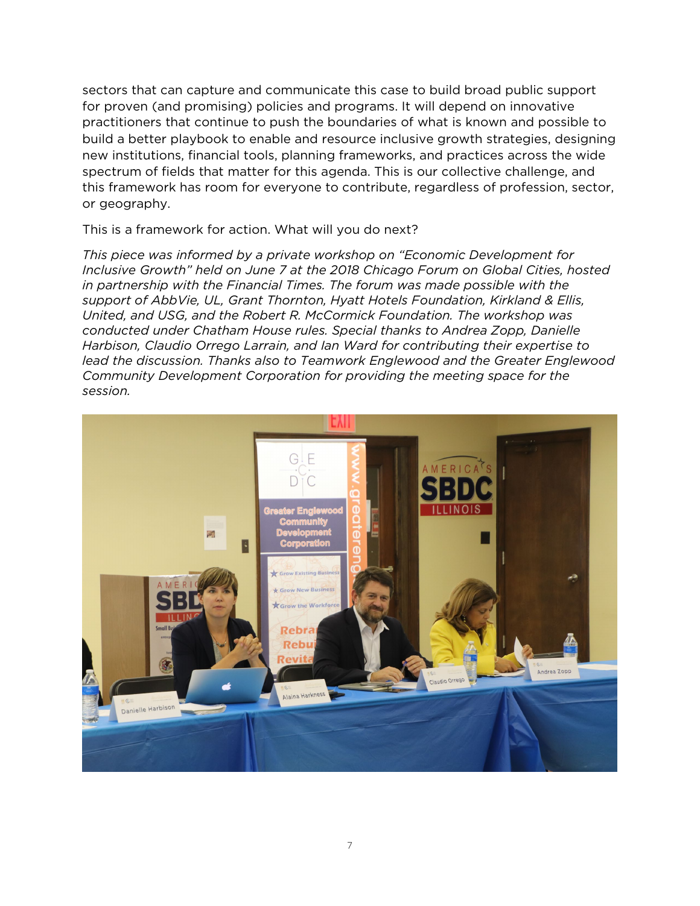sectors that can capture and communicate this case to build broad public support for proven (and promising) policies and programs. It will depend on innovative practitioners that continue to push the boundaries of what is known and possible to build a better playbook to enable and resource inclusive growth strategies, designing new institutions, financial tools, planning frameworks, and practices across the wide spectrum of fields that matter for this agenda. This is our collective challenge, and this framework has room for everyone to contribute, regardless of profession, sector, or geography.

#### This is a framework for action. What will you do next?

*This piece was informed by a private workshop on "Economic Development for Inclusive Growth" held on June 7 at the 2018 Chicago Forum on Global Cities, hosted in partnership with the Financial Times. The forum was made possible with the support of AbbVie, UL, Grant Thornton, Hyatt Hotels Foundation, Kirkland & Ellis, United, and USG, and the Robert R. McCormick Foundation. The workshop was conducted under Chatham House rules. Special thanks to Andrea Zopp, Danielle Harbison, Claudio Orrego Larrain, and Ian Ward for contributing their expertise to lead the discussion. Thanks also to Teamwork Englewood and the Greater Englewood Community Development Corporation for providing the meeting space for the session.*